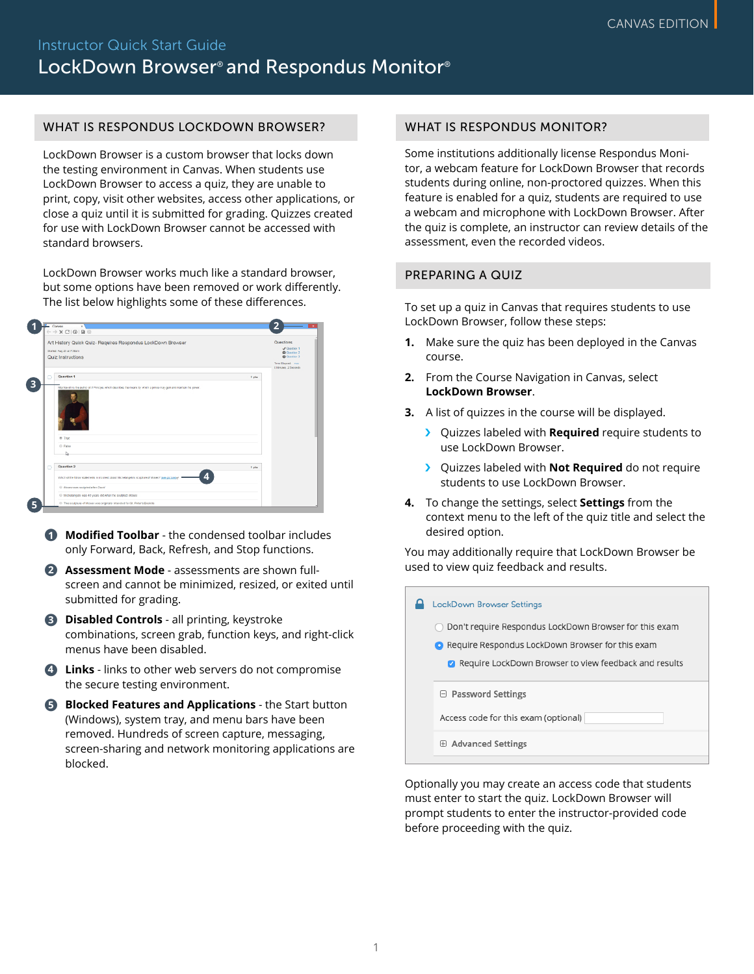#### WHAT IS RESPONDUS LOCKDOWN BROWSER?

LockDown Browser is a custom browser that locks down the testing environment in Canvas. When students use LockDown Browser to access a quiz, they are unable to print, copy, visit other websites, access other applications, or close a quiz until it is submitted for grading. Quizzes created for use with LockDown Browser cannot be accessed with standard browsers.

LockDown Browser works much like a standard browser, but some options have been removed or work differently. The list below highlights some of these differences.

| Art History Quick Quiz- Requires Respondus LockDown Browser                                                                                |        | Questions                                 |
|--------------------------------------------------------------------------------------------------------------------------------------------|--------|-------------------------------------------|
|                                                                                                                                            |        | <b>J</b> Quotting 1                       |
| Started: Aug 25 at 7:30am<br>Quiz Instructions                                                                                             |        | <b>Q</b> Question 2<br><b>Q</b> Quoties 3 |
|                                                                                                                                            |        | Time Elegand sun                          |
|                                                                                                                                            |        | <b>Diffrance, 2 Seconds</b>               |
| Question 1<br>D                                                                                                                            | 1 pts  |                                           |
| Machiavall is the author of A Principe, which describes the means by which a prince may gain and maintain his power.<br>® True<br>O. False |        |                                           |
| ь                                                                                                                                          |        |                                           |
| <b>Question 2</b><br>n                                                                                                                     | 1 pts. |                                           |
| д<br>Which of the follow statements is incorrect about hilchelangelo's sculpture of Moses? [see picture] of                                |        |                                           |
| (i) Alcoho was sculpted after David                                                                                                        |        |                                           |
| @ Michalangale was 40 years old when he sculpted Moses                                                                                     |        |                                           |

- ●**<sup>1</sup> Modified Toolbar** the condensed toolbar includes only Forward, Back, Refresh, and Stop functions.
- **2 Assessment Mode** assessments are shown fullscreen and cannot be minimized, resized, or exited until submitted for grading.
- **8 Disabled Controls** all printing, keystroke combinations, screen grab, function keys, and right-click menus have been disabled.
- 4 **Links** links to other web servers do not compromise the secure testing environment.
- **6** Blocked Features and Applications the Start button (Windows), system tray, and menu bars have been removed. Hundreds of screen capture, messaging, screen-sharing and network monitoring applications are blocked.

### WHAT IS RESPONDUS MONITOR?

Some institutions additionally license Respondus Monitor, a webcam feature for LockDown Browser that records students during online, non-proctored quizzes. When this feature is enabled for a quiz, students are required to use a webcam and microphone with LockDown Browser. After the quiz is complete, an instructor can review details of the assessment, even the recorded videos.

# PREPARING A QUIZ

To set up a quiz in Canvas that requires students to use LockDown Browser, follow these steps:

- **1.** Make sure the quiz has been deployed in the Canvas course.
- **2.** From the Course Navigation in Canvas, select **LockDown Browser.**
- **3.** A list of quizzes in the course will be displayed.
	- › Quizzes labeled with **Required** require students to use LockDown Browser.
	- **>** Quizzes labeled with **Not Required** do not require students to use LockDown Browser.
- **4.** To change the settings, select **Settings** from the context menu to the left of the quiz title and select the desired option.

You may additionally require that LockDown Browser be used to view quiz feedback and results.

|  |  | <b>LockDown Browser Settings</b>                                                                                    |
|--|--|---------------------------------------------------------------------------------------------------------------------|
|  |  | Don't require Respondus LockDown Browser for this exam<br><b>O</b> Require Respondus LockDown Browser for this exam |
|  |  | Require LockDown Browser to view feedback and results<br>Ø                                                          |
|  |  | $\Box$ Password Settings<br>Access code for this exam (optional)                                                    |
|  |  | <b>Advanced Settings</b><br>$\boxplus$                                                                              |
|  |  |                                                                                                                     |

Optionally you may create an access code that students must enter to start the quiz. LockDown Browser will prompt students to enter the instructor-provided code before proceeding with the quiz.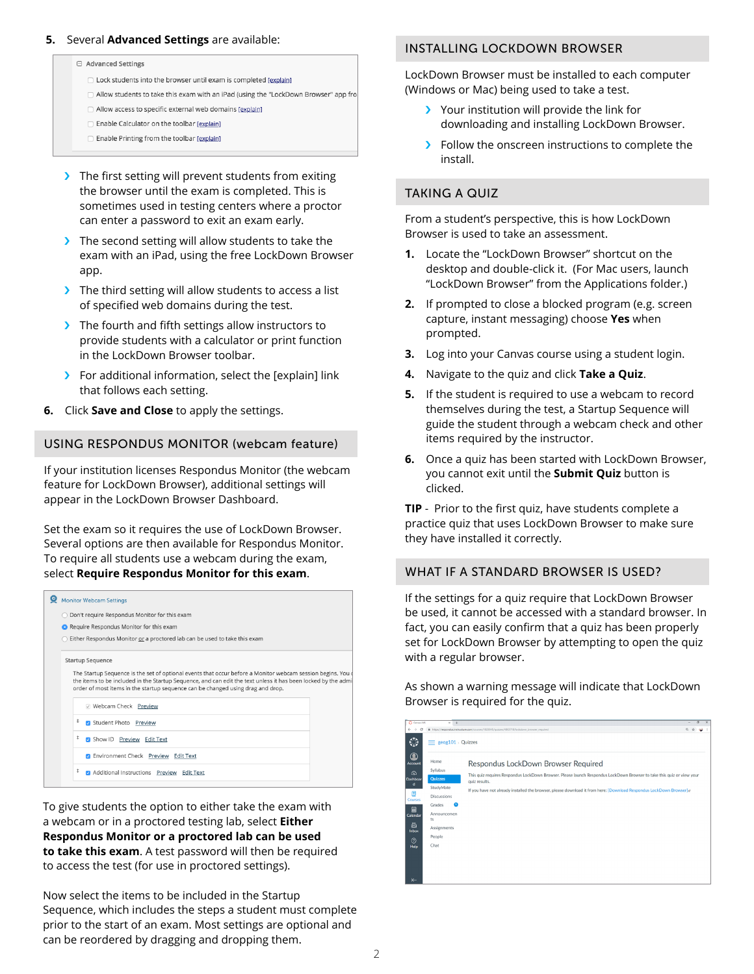#### **5.** Several **Advanced Settings** are available:

□ Advanced Settings

- $\Box$  Lock students into the browser until exam is completed Jexplain1
- □ Allow students to take this exam with an iPad (using the "LockDown Browser" app fro
- Allow access to specific external web domains [explain]
- Enable Calculator on the toolbar [explain]
- □ Enable Printing from the toolbar [explain]
- > The first setting will prevent students from exiting the browser until the exam is completed. This is sometimes used in testing centers where a proctor can enter a password to exit an exam early.
- > The second setting will allow students to take the exam with an iPad, using the free LockDown Browser app.
- > The third setting will allow students to access a list of specified web domains during the test.
- > The fourth and fifth settings allow instructors to provide students with a calculator or print function in the LockDown Browser toolbar.
- › For additional information, select the [explain] link that follows each setting.
- **6.** Click **Save and Close** to apply the settings.

## USING RESPONDUS MONITOR (webcam feature)

If your institution licenses Respondus Monitor (the webcam feature for LockDown Browser), additional settings will appear in the LockDown Browser Dashboard.

Set the exam so it requires the use of LockDown Browser. Several options are then available for Respondus Monitor. To require all students use a webcam during the exam, select **Require Respondus Monitor for this exam**.

|  | <b>Monitor Webcam Settings</b>                                                                                                                                                                                                                                                                                                                                                                                                |  |
|--|-------------------------------------------------------------------------------------------------------------------------------------------------------------------------------------------------------------------------------------------------------------------------------------------------------------------------------------------------------------------------------------------------------------------------------|--|
|  | ◯ Don't require Respondus Monitor for this exam                                                                                                                                                                                                                                                                                                                                                                               |  |
|  | • Require Respondus Monitor for this exam                                                                                                                                                                                                                                                                                                                                                                                     |  |
|  | Either Respondus Monitor or a proctored lab can be used to take this exam                                                                                                                                                                                                                                                                                                                                                     |  |
|  | <b>Startup Sequence</b><br>The Startup Sequence is the set of optional events that occur before a Monitor webcam session begins. You d<br>the items to be included in the Startup Sequence, and can edit the text unless it has been locked by the admi<br>V Webcam Check Preview<br>Student Photo Preview<br>Show ID Preview Edit Text<br>C Environment Check Preview Edit Text<br>Additional Instructions Preview Edit Text |  |
|  | order of most items in the startup sequence can be changed using drag and drop.                                                                                                                                                                                                                                                                                                                                               |  |
|  |                                                                                                                                                                                                                                                                                                                                                                                                                               |  |
|  | t                                                                                                                                                                                                                                                                                                                                                                                                                             |  |
|  | ¢                                                                                                                                                                                                                                                                                                                                                                                                                             |  |
|  |                                                                                                                                                                                                                                                                                                                                                                                                                               |  |
|  | ¢                                                                                                                                                                                                                                                                                                                                                                                                                             |  |

To give students the option to either take the exam with a webcam or in a proctored testing lab, select **Either Respondus Monitor or a proctored lab can be used** to take this exam. A test password will then be required to access the test (for use in proctored settings).

Now select the items to be included in the Startup Sequence, which includes the steps a student must complete prior to the start of an exam. Most settings are optional and can be reordered by dragging and dropping them.

#### INSTALLING LOCKDOWN BROWSER

LockDown Browser must be installed to each computer (Windows or Mac) being used to take a test.

- › Your institution will provide the link for downloading and installing LockDown Browser.
- › Follow the onscreen instructions to complete the install.

# TAKING A QUIZ

From a student's perspective, this is how LockDown Browser is used to take an assessment.

- **1.** Locate the "LockDown Browser" shortcut on the desktop and double-click it. (For Mac users, launch "LockDown Browser" from the Applications folder.)
- **2.** If prompted to close a blocked program (e.g. screen capture, instant messaging) choose **Yes** when prompted.
- **3.** Log into your Canvas course using a student login.
- **4.** Navigate to the quiz and click **Take a Quiz**.
- **5.** If the student is required to use a webcam to record themselves during the test, a Startup Sequence will guide the student through a webcam check and other items required by the instructor.
- **6.** Once a quiz has been started with LockDown Browser, you cannot exit until the **Submit Quiz** button is clicked.

**TIP** - Prior to the first quiz, have students complete a practice quiz that uses LockDown Browser to make sure they have installed it correctly.

#### WHAT IF A STANDARD BROWSER IS USED?

If the settings for a quiz require that LockDown Browser be used, it cannot be accessed with a standard browser. In fact, you can easily confirm that a quiz has been properly set for LockDown Browser by attempting to open the quiz with a regular browser. **1**

As shown a warning message will indicate that LockDown Browser is required for the quiz. **2**

| C Canvas LMS<br>$\leftarrow$<br>$\rightarrow$<br>٧                                                                | $\times$ +<br>$\equiv$ geog101 > Quizzes                                                                                                    | https://respondus.instructure.com/courses/1823045/guizzes/4803718/lockdown.browser.required                                                                                                                                                                                                            | e | $\sigma$ | $\times$<br>÷ |
|-------------------------------------------------------------------------------------------------------------------|---------------------------------------------------------------------------------------------------------------------------------------------|--------------------------------------------------------------------------------------------------------------------------------------------------------------------------------------------------------------------------------------------------------------------------------------------------------|---|----------|---------------|
| $\odot$<br>Account<br>෬<br>Dashboar<br>d<br>Ξ<br>Courses<br>圇<br>Calendar<br>画<br>Inbox<br>$^{\circledR}$<br>Help | Home<br>Syllabus<br>Quizzes<br>StudyMate<br><b>Discussions</b><br>$\bullet$<br>Grades<br>Announcemen<br>ts<br>Assignments<br>People<br>Chat | Respondus LockDown Browser Required<br>This quiz requires Respondus LockDown Browser. Please launch Respondus LockDown Browser to take this quiz or view your<br>quiz results.<br>If you have not already installed the browser, please download it from here: [Download Respondus LockDown Browser] e |   |          |               |
| $\leftarrow$                                                                                                      |                                                                                                                                             |                                                                                                                                                                                                                                                                                                        |   |          |               |